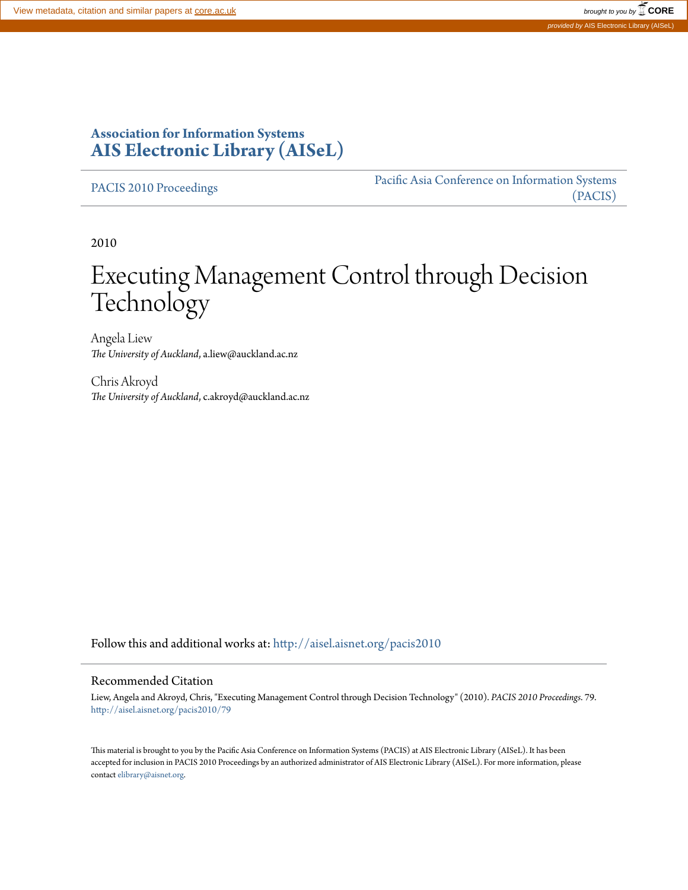### **Association for Information Systems [AIS Electronic Library \(AISeL\)](http://aisel.aisnet.org?utm_source=aisel.aisnet.org%2Fpacis2010%2F79&utm_medium=PDF&utm_campaign=PDFCoverPages)**

[PACIS 2010 Proceedings](http://aisel.aisnet.org/pacis2010?utm_source=aisel.aisnet.org%2Fpacis2010%2F79&utm_medium=PDF&utm_campaign=PDFCoverPages)

[Pacific Asia Conference on Information Systems](http://aisel.aisnet.org/pacis?utm_source=aisel.aisnet.org%2Fpacis2010%2F79&utm_medium=PDF&utm_campaign=PDFCoverPages) [\(PACIS\)](http://aisel.aisnet.org/pacis?utm_source=aisel.aisnet.org%2Fpacis2010%2F79&utm_medium=PDF&utm_campaign=PDFCoverPages)

2010

# Executing Management Control through Decision Technology

Angela Liew *The University of Auckland*, a.liew@auckland.ac.nz

Chris Akroyd *The University of Auckland*, c.akroyd@auckland.ac.nz

Follow this and additional works at: [http://aisel.aisnet.org/pacis2010](http://aisel.aisnet.org/pacis2010?utm_source=aisel.aisnet.org%2Fpacis2010%2F79&utm_medium=PDF&utm_campaign=PDFCoverPages)

#### Recommended Citation

Liew, Angela and Akroyd, Chris, "Executing Management Control through Decision Technology" (2010). *PACIS 2010 Proceedings*. 79. [http://aisel.aisnet.org/pacis2010/79](http://aisel.aisnet.org/pacis2010/79?utm_source=aisel.aisnet.org%2Fpacis2010%2F79&utm_medium=PDF&utm_campaign=PDFCoverPages)

This material is brought to you by the Pacific Asia Conference on Information Systems (PACIS) at AIS Electronic Library (AISeL). It has been accepted for inclusion in PACIS 2010 Proceedings by an authorized administrator of AIS Electronic Library (AISeL). For more information, please contact [elibrary@aisnet.org.](mailto:elibrary@aisnet.org%3E)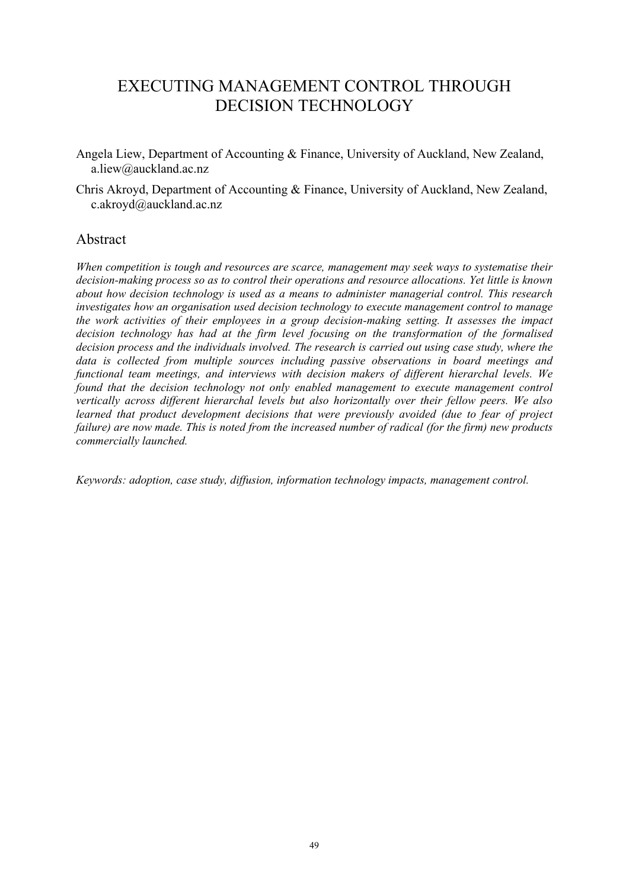## EXECUTING MANAGEMENT CONTROL THROUGH DECISION TECHNOLOGY

- Angela Liew, Department of Accounting & Finance, University of Auckland, New Zealand, a.liew@auckland.ac.nz
- Chris Akroyd, Department of Accounting & Finance, University of Auckland, New Zealand, c.akroyd@auckland.ac.nz

#### Abstract

*When competition is tough and resources are scarce, management may seek ways to systematise their decision-making process so as to control their operations and resource allocations. Yet little is known about how decision technology is used as a means to administer managerial control. This research investigates how an organisation used decision technology to execute management control to manage the work activities of their employees in a group decision-making setting. It assesses the impact decision technology has had at the firm level focusing on the transformation of the formalised decision process and the individuals involved. The research is carried out using case study, where the data is collected from multiple sources including passive observations in board meetings and functional team meetings, and interviews with decision makers of different hierarchal levels. We found that the decision technology not only enabled management to execute management control vertically across different hierarchal levels but also horizontally over their fellow peers. We also learned that product development decisions that were previously avoided (due to fear of project failure) are now made. This is noted from the increased number of radical (for the firm) new products commercially launched.* 

*Keywords: adoption, case study, diffusion, information technology impacts, management control.*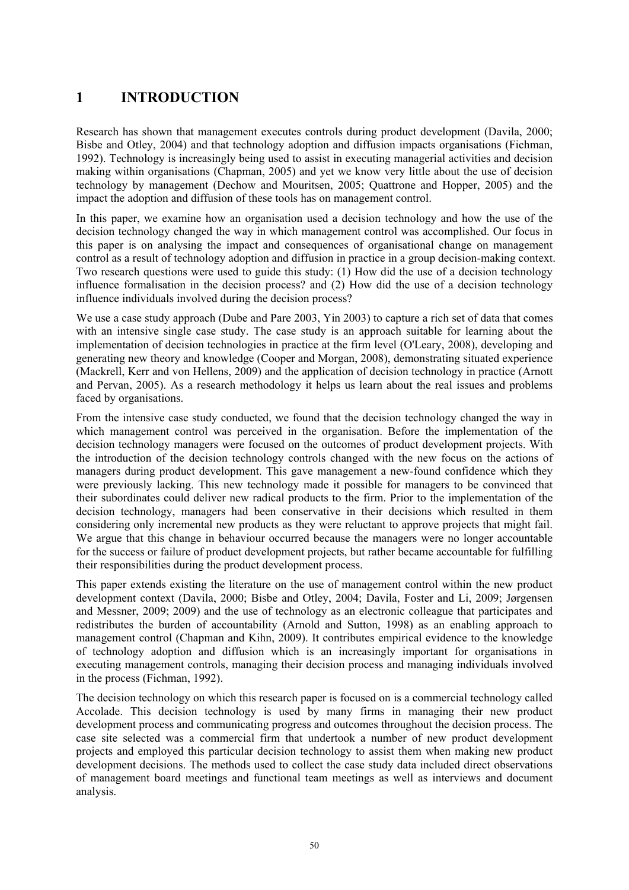### **1 INTRODUCTION**

Research has shown that management executes controls during product development (Davila, 2000; Bisbe and Otley, 2004) and that technology adoption and diffusion impacts organisations (Fichman, 1992). Technology is increasingly being used to assist in executing managerial activities and decision making within organisations (Chapman, 2005) and yet we know very little about the use of decision technology by management (Dechow and Mouritsen, 2005; Quattrone and Hopper, 2005) and the impact the adoption and diffusion of these tools has on management control.

In this paper, we examine how an organisation used a decision technology and how the use of the decision technology changed the way in which management control was accomplished. Our focus in this paper is on analysing the impact and consequences of organisational change on management control as a result of technology adoption and diffusion in practice in a group decision-making context. Two research questions were used to guide this study: (1) How did the use of a decision technology influence formalisation in the decision process? and (2) How did the use of a decision technology influence individuals involved during the decision process?

We use a case study approach (Dube and Pare 2003, Yin 2003) to capture a rich set of data that comes with an intensive single case study. The case study is an approach suitable for learning about the implementation of decision technologies in practice at the firm level (O'Leary, 2008), developing and generating new theory and knowledge (Cooper and Morgan, 2008), demonstrating situated experience (Mackrell, Kerr and von Hellens, 2009) and the application of decision technology in practice (Arnott and Pervan, 2005). As a research methodology it helps us learn about the real issues and problems faced by organisations.

From the intensive case study conducted, we found that the decision technology changed the way in which management control was perceived in the organisation. Before the implementation of the decision technology managers were focused on the outcomes of product development projects. With the introduction of the decision technology controls changed with the new focus on the actions of managers during product development. This gave management a new-found confidence which they were previously lacking. This new technology made it possible for managers to be convinced that their subordinates could deliver new radical products to the firm. Prior to the implementation of the decision technology, managers had been conservative in their decisions which resulted in them considering only incremental new products as they were reluctant to approve projects that might fail. We argue that this change in behaviour occurred because the managers were no longer accountable for the success or failure of product development projects, but rather became accountable for fulfilling their responsibilities during the product development process.

This paper extends existing the literature on the use of management control within the new product development context (Davila, 2000; Bisbe and Otley, 2004; Davila, Foster and Li, 2009; Jørgensen and Messner, 2009; 2009) and the use of technology as an electronic colleague that participates and redistributes the burden of accountability (Arnold and Sutton, 1998) as an enabling approach to management control (Chapman and Kihn, 2009). It contributes empirical evidence to the knowledge of technology adoption and diffusion which is an increasingly important for organisations in executing management controls, managing their decision process and managing individuals involved in the process (Fichman, 1992).

The decision technology on which this research paper is focused on is a commercial technology called Accolade. This decision technology is used by many firms in managing their new product development process and communicating progress and outcomes throughout the decision process. The case site selected was a commercial firm that undertook a number of new product development projects and employed this particular decision technology to assist them when making new product development decisions. The methods used to collect the case study data included direct observations of management board meetings and functional team meetings as well as interviews and document analysis.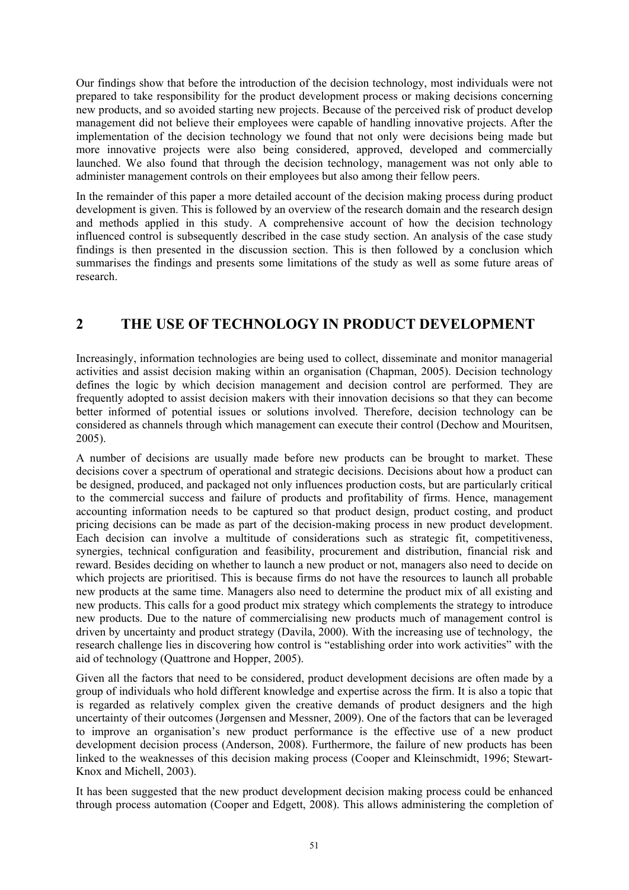Our findings show that before the introduction of the decision technology, most individuals were not prepared to take responsibility for the product development process or making decisions concerning new products, and so avoided starting new projects. Because of the perceived risk of product develop management did not believe their employees were capable of handling innovative projects. After the implementation of the decision technology we found that not only were decisions being made but more innovative projects were also being considered, approved, developed and commercially launched. We also found that through the decision technology, management was not only able to administer management controls on their employees but also among their fellow peers.

In the remainder of this paper a more detailed account of the decision making process during product development is given. This is followed by an overview of the research domain and the research design and methods applied in this study. A comprehensive account of how the decision technology influenced control is subsequently described in the case study section. An analysis of the case study findings is then presented in the discussion section. This is then followed by a conclusion which summarises the findings and presents some limitations of the study as well as some future areas of research.

#### **2 THE USE OF TECHNOLOGY IN PRODUCT DEVELOPMENT**

Increasingly, information technologies are being used to collect, disseminate and monitor managerial activities and assist decision making within an organisation (Chapman, 2005). Decision technology defines the logic by which decision management and decision control are performed. They are frequently adopted to assist decision makers with their innovation decisions so that they can become better informed of potential issues or solutions involved. Therefore, decision technology can be considered as channels through which management can execute their control (Dechow and Mouritsen, 2005).

A number of decisions are usually made before new products can be brought to market. These decisions cover a spectrum of operational and strategic decisions. Decisions about how a product can be designed, produced, and packaged not only influences production costs, but are particularly critical to the commercial success and failure of products and profitability of firms. Hence, management accounting information needs to be captured so that product design, product costing, and product pricing decisions can be made as part of the decision-making process in new product development. Each decision can involve a multitude of considerations such as strategic fit, competitiveness, synergies, technical configuration and feasibility, procurement and distribution, financial risk and reward. Besides deciding on whether to launch a new product or not, managers also need to decide on which projects are prioritised. This is because firms do not have the resources to launch all probable new products at the same time. Managers also need to determine the product mix of all existing and new products. This calls for a good product mix strategy which complements the strategy to introduce new products. Due to the nature of commercialising new products much of management control is driven by uncertainty and product strategy (Davila, 2000). With the increasing use of technology, the research challenge lies in discovering how control is "establishing order into work activities" with the aid of technology (Quattrone and Hopper, 2005).

Given all the factors that need to be considered, product development decisions are often made by a group of individuals who hold different knowledge and expertise across the firm. It is also a topic that is regarded as relatively complex given the creative demands of product designers and the high uncertainty of their outcomes (Jørgensen and Messner, 2009). One of the factors that can be leveraged to improve an organisation's new product performance is the effective use of a new product development decision process (Anderson, 2008). Furthermore, the failure of new products has been linked to the weaknesses of this decision making process (Cooper and Kleinschmidt, 1996; Stewart-Knox and Michell, 2003).

It has been suggested that the new product development decision making process could be enhanced through process automation (Cooper and Edgett, 2008). This allows administering the completion of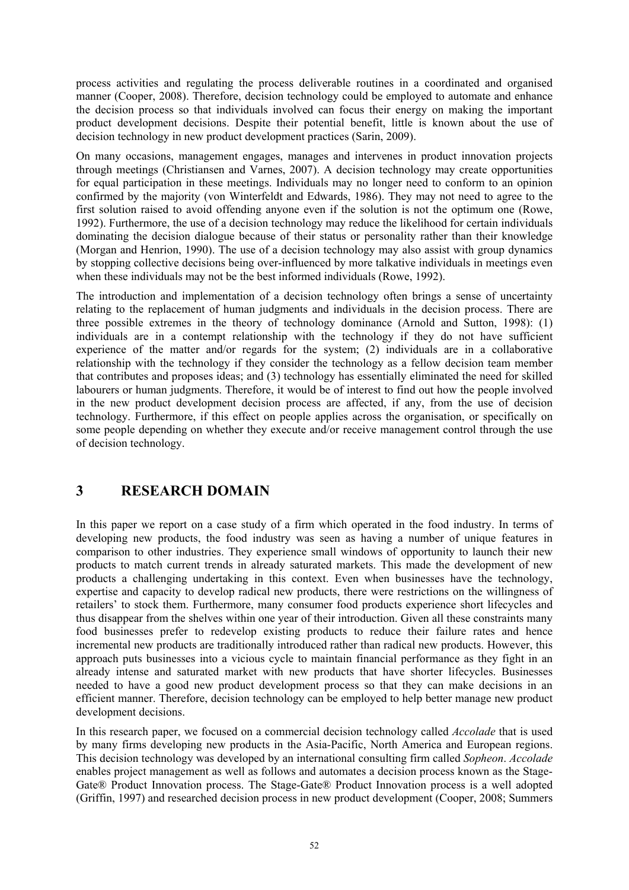process activities and regulating the process deliverable routines in a coordinated and organised manner (Cooper, 2008). Therefore, decision technology could be employed to automate and enhance the decision process so that individuals involved can focus their energy on making the important product development decisions. Despite their potential benefit, little is known about the use of decision technology in new product development practices (Sarin, 2009).

On many occasions, management engages, manages and intervenes in product innovation projects through meetings (Christiansen and Varnes, 2007). A decision technology may create opportunities for equal participation in these meetings. Individuals may no longer need to conform to an opinion confirmed by the majority (von Winterfeldt and Edwards, 1986). They may not need to agree to the first solution raised to avoid offending anyone even if the solution is not the optimum one (Rowe, 1992). Furthermore, the use of a decision technology may reduce the likelihood for certain individuals dominating the decision dialogue because of their status or personality rather than their knowledge (Morgan and Henrion, 1990). The use of a decision technology may also assist with group dynamics by stopping collective decisions being over-influenced by more talkative individuals in meetings even when these individuals may not be the best informed individuals (Rowe, 1992).

The introduction and implementation of a decision technology often brings a sense of uncertainty relating to the replacement of human judgments and individuals in the decision process. There are three possible extremes in the theory of technology dominance (Arnold and Sutton, 1998): (1) individuals are in a contempt relationship with the technology if they do not have sufficient experience of the matter and/or regards for the system; (2) individuals are in a collaborative relationship with the technology if they consider the technology as a fellow decision team member that contributes and proposes ideas; and (3) technology has essentially eliminated the need for skilled labourers or human judgments. Therefore, it would be of interest to find out how the people involved in the new product development decision process are affected, if any, from the use of decision technology. Furthermore, if this effect on people applies across the organisation, or specifically on some people depending on whether they execute and/or receive management control through the use of decision technology.

#### **3 RESEARCH DOMAIN**

In this paper we report on a case study of a firm which operated in the food industry. In terms of developing new products, the food industry was seen as having a number of unique features in comparison to other industries. They experience small windows of opportunity to launch their new products to match current trends in already saturated markets. This made the development of new products a challenging undertaking in this context. Even when businesses have the technology, expertise and capacity to develop radical new products, there were restrictions on the willingness of retailers' to stock them. Furthermore, many consumer food products experience short lifecycles and thus disappear from the shelves within one year of their introduction. Given all these constraints many food businesses prefer to redevelop existing products to reduce their failure rates and hence incremental new products are traditionally introduced rather than radical new products. However, this approach puts businesses into a vicious cycle to maintain financial performance as they fight in an already intense and saturated market with new products that have shorter lifecycles. Businesses needed to have a good new product development process so that they can make decisions in an efficient manner. Therefore, decision technology can be employed to help better manage new product development decisions.

In this research paper, we focused on a commercial decision technology called *Accolade* that is used by many firms developing new products in the Asia-Pacific, North America and European regions. This decision technology was developed by an international consulting firm called *Sopheon*. *Accolade* enables project management as well as follows and automates a decision process known as the Stage-Gate® Product Innovation process. The Stage-Gate® Product Innovation process is a well adopted (Griffin, 1997) and researched decision process in new product development (Cooper, 2008; Summers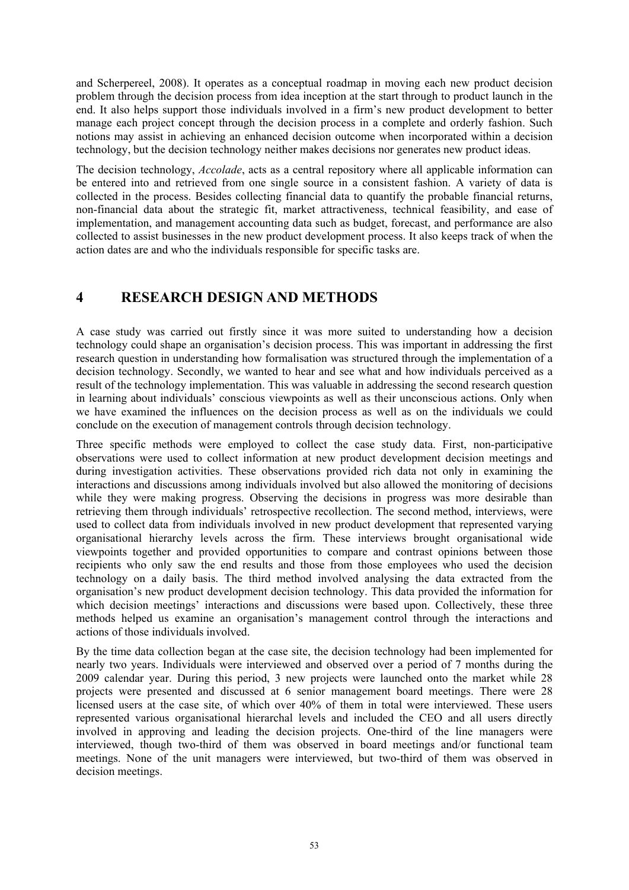and Scherpereel, 2008). It operates as a conceptual roadmap in moving each new product decision problem through the decision process from idea inception at the start through to product launch in the end. It also helps support those individuals involved in a firm's new product development to better manage each project concept through the decision process in a complete and orderly fashion. Such notions may assist in achieving an enhanced decision outcome when incorporated within a decision technology, but the decision technology neither makes decisions nor generates new product ideas.

The decision technology, *Accolade*, acts as a central repository where all applicable information can be entered into and retrieved from one single source in a consistent fashion. A variety of data is collected in the process. Besides collecting financial data to quantify the probable financial returns, non-financial data about the strategic fit, market attractiveness, technical feasibility, and ease of implementation, and management accounting data such as budget, forecast, and performance are also collected to assist businesses in the new product development process. It also keeps track of when the action dates are and who the individuals responsible for specific tasks are.

#### **4 RESEARCH DESIGN AND METHODS**

A case study was carried out firstly since it was more suited to understanding how a decision technology could shape an organisation's decision process. This was important in addressing the first research question in understanding how formalisation was structured through the implementation of a decision technology. Secondly, we wanted to hear and see what and how individuals perceived as a result of the technology implementation. This was valuable in addressing the second research question in learning about individuals' conscious viewpoints as well as their unconscious actions. Only when we have examined the influences on the decision process as well as on the individuals we could conclude on the execution of management controls through decision technology.

Three specific methods were employed to collect the case study data. First, non-participative observations were used to collect information at new product development decision meetings and during investigation activities. These observations provided rich data not only in examining the interactions and discussions among individuals involved but also allowed the monitoring of decisions while they were making progress. Observing the decisions in progress was more desirable than retrieving them through individuals' retrospective recollection. The second method, interviews, were used to collect data from individuals involved in new product development that represented varying organisational hierarchy levels across the firm. These interviews brought organisational wide viewpoints together and provided opportunities to compare and contrast opinions between those recipients who only saw the end results and those from those employees who used the decision technology on a daily basis. The third method involved analysing the data extracted from the organisation's new product development decision technology. This data provided the information for which decision meetings' interactions and discussions were based upon. Collectively, these three methods helped us examine an organisation's management control through the interactions and actions of those individuals involved.

By the time data collection began at the case site, the decision technology had been implemented for nearly two years. Individuals were interviewed and observed over a period of 7 months during the 2009 calendar year. During this period, 3 new projects were launched onto the market while 28 projects were presented and discussed at 6 senior management board meetings. There were 28 licensed users at the case site, of which over 40% of them in total were interviewed. These users represented various organisational hierarchal levels and included the CEO and all users directly involved in approving and leading the decision projects. One-third of the line managers were interviewed, though two-third of them was observed in board meetings and/or functional team meetings. None of the unit managers were interviewed, but two-third of them was observed in decision meetings.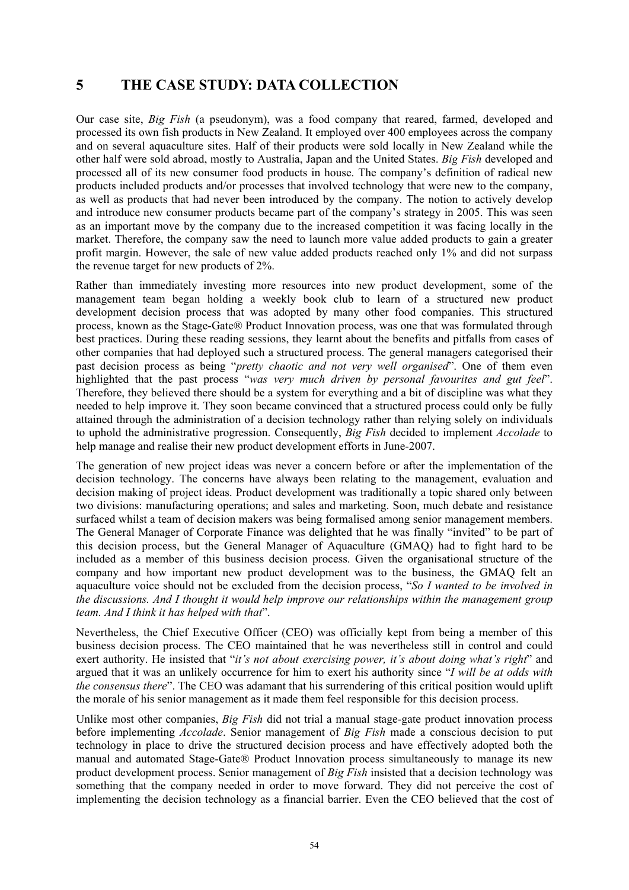#### **5 THE CASE STUDY: DATA COLLECTION**

Our case site, *Big Fish* (a pseudonym), was a food company that reared, farmed, developed and processed its own fish products in New Zealand. It employed over 400 employees across the company and on several aquaculture sites. Half of their products were sold locally in New Zealand while the other half were sold abroad, mostly to Australia, Japan and the United States. *Big Fish* developed and processed all of its new consumer food products in house. The company's definition of radical new products included products and/or processes that involved technology that were new to the company, as well as products that had never been introduced by the company. The notion to actively develop and introduce new consumer products became part of the company's strategy in 2005. This was seen as an important move by the company due to the increased competition it was facing locally in the market. Therefore, the company saw the need to launch more value added products to gain a greater profit margin. However, the sale of new value added products reached only 1% and did not surpass the revenue target for new products of 2%.

Rather than immediately investing more resources into new product development, some of the management team began holding a weekly book club to learn of a structured new product development decision process that was adopted by many other food companies. This structured process, known as the Stage-Gate® Product Innovation process, was one that was formulated through best practices. During these reading sessions, they learnt about the benefits and pitfalls from cases of other companies that had deployed such a structured process. The general managers categorised their past decision process as being "*pretty chaotic and not very well organised*". One of them even highlighted that the past process "*was very much driven by personal favourites and gut feel*". Therefore, they believed there should be a system for everything and a bit of discipline was what they needed to help improve it. They soon became convinced that a structured process could only be fully attained through the administration of a decision technology rather than relying solely on individuals to uphold the administrative progression. Consequently, *Big Fish* decided to implement *Accolade* to help manage and realise their new product development efforts in June-2007.

The generation of new project ideas was never a concern before or after the implementation of the decision technology. The concerns have always been relating to the management, evaluation and decision making of project ideas. Product development was traditionally a topic shared only between two divisions: manufacturing operations; and sales and marketing. Soon, much debate and resistance surfaced whilst a team of decision makers was being formalised among senior management members. The General Manager of Corporate Finance was delighted that he was finally "invited" to be part of this decision process, but the General Manager of Aquaculture (GMAQ) had to fight hard to be included as a member of this business decision process. Given the organisational structure of the company and how important new product development was to the business, the GMAQ felt an aquaculture voice should not be excluded from the decision process, "*So I wanted to be involved in the discussions. And I thought it would help improve our relationships within the management group team. And I think it has helped with that*".

Nevertheless, the Chief Executive Officer (CEO) was officially kept from being a member of this business decision process. The CEO maintained that he was nevertheless still in control and could exert authority. He insisted that "*it's not about exercising power, it's about doing what's right*" and argued that it was an unlikely occurrence for him to exert his authority since "*I will be at odds with the consensus there*". The CEO was adamant that his surrendering of this critical position would uplift the morale of his senior management as it made them feel responsible for this decision process.

Unlike most other companies, *Big Fish* did not trial a manual stage-gate product innovation process before implementing *Accolade*. Senior management of *Big Fish* made a conscious decision to put technology in place to drive the structured decision process and have effectively adopted both the manual and automated Stage-Gate® Product Innovation process simultaneously to manage its new product development process. Senior management of *Big Fish* insisted that a decision technology was something that the company needed in order to move forward. They did not perceive the cost of implementing the decision technology as a financial barrier. Even the CEO believed that the cost of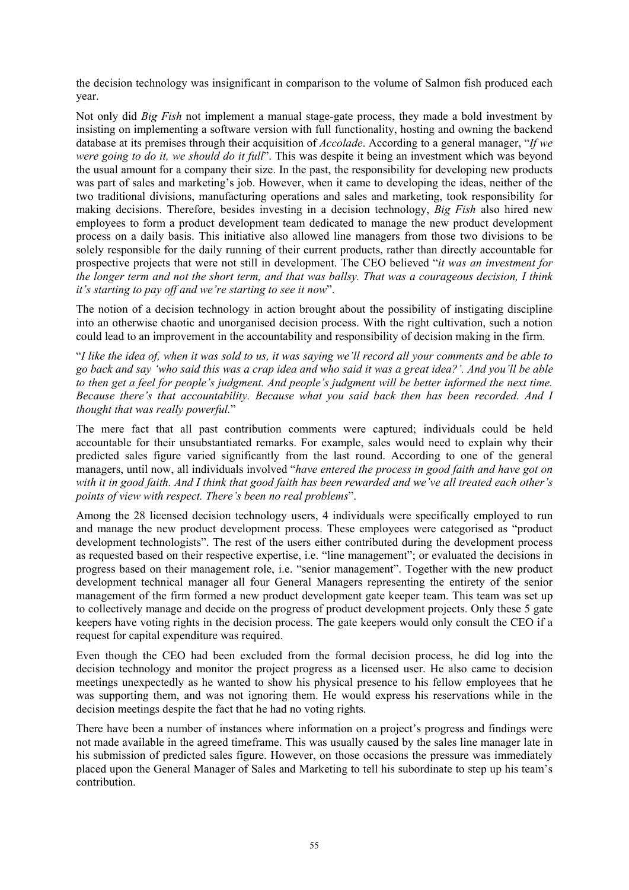the decision technology was insignificant in comparison to the volume of Salmon fish produced each year.

Not only did *Big Fish* not implement a manual stage-gate process, they made a bold investment by insisting on implementing a software version with full functionality, hosting and owning the backend database at its premises through their acquisition of *Accolade*. According to a general manager, "*If we were going to do it, we should do it full*". This was despite it being an investment which was beyond the usual amount for a company their size. In the past, the responsibility for developing new products was part of sales and marketing's job. However, when it came to developing the ideas, neither of the two traditional divisions, manufacturing operations and sales and marketing, took responsibility for making decisions. Therefore, besides investing in a decision technology, *Big Fish* also hired new employees to form a product development team dedicated to manage the new product development process on a daily basis. This initiative also allowed line managers from those two divisions to be solely responsible for the daily running of their current products, rather than directly accountable for prospective projects that were not still in development. The CEO believed "*it was an investment for the longer term and not the short term, and that was ballsy. That was a courageous decision, I think it's starting to pay off and we're starting to see it now*".

The notion of a decision technology in action brought about the possibility of instigating discipline into an otherwise chaotic and unorganised decision process. With the right cultivation, such a notion could lead to an improvement in the accountability and responsibility of decision making in the firm.

"*I like the idea of, when it was sold to us, it was saying we'll record all your comments and be able to go back and say 'who said this was a crap idea and who said it was a great idea?'. And you'll be able to then get a feel for people's judgment. And people's judgment will be better informed the next time. Because there's that accountability. Because what you said back then has been recorded. And I thought that was really powerful.*"

The mere fact that all past contribution comments were captured; individuals could be held accountable for their unsubstantiated remarks. For example, sales would need to explain why their predicted sales figure varied significantly from the last round. According to one of the general managers, until now, all individuals involved "*have entered the process in good faith and have got on with it in good faith. And I think that good faith has been rewarded and we've all treated each other's points of view with respect. There's been no real problems*".

Among the 28 licensed decision technology users, 4 individuals were specifically employed to run and manage the new product development process. These employees were categorised as "product development technologists". The rest of the users either contributed during the development process as requested based on their respective expertise, i.e. "line management"; or evaluated the decisions in progress based on their management role, i.e. "senior management". Together with the new product development technical manager all four General Managers representing the entirety of the senior management of the firm formed a new product development gate keeper team. This team was set up to collectively manage and decide on the progress of product development projects. Only these 5 gate keepers have voting rights in the decision process. The gate keepers would only consult the CEO if a request for capital expenditure was required.

Even though the CEO had been excluded from the formal decision process, he did log into the decision technology and monitor the project progress as a licensed user. He also came to decision meetings unexpectedly as he wanted to show his physical presence to his fellow employees that he was supporting them, and was not ignoring them. He would express his reservations while in the decision meetings despite the fact that he had no voting rights.

There have been a number of instances where information on a project's progress and findings were not made available in the agreed timeframe. This was usually caused by the sales line manager late in his submission of predicted sales figure. However, on those occasions the pressure was immediately placed upon the General Manager of Sales and Marketing to tell his subordinate to step up his team's contribution.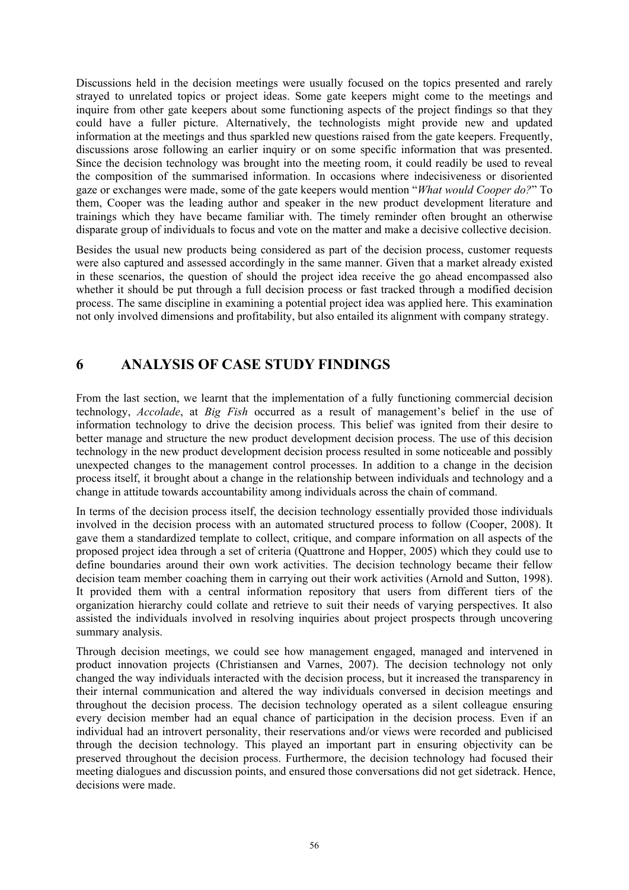Discussions held in the decision meetings were usually focused on the topics presented and rarely strayed to unrelated topics or project ideas. Some gate keepers might come to the meetings and inquire from other gate keepers about some functioning aspects of the project findings so that they could have a fuller picture. Alternatively, the technologists might provide new and updated information at the meetings and thus sparkled new questions raised from the gate keepers. Frequently, discussions arose following an earlier inquiry or on some specific information that was presented. Since the decision technology was brought into the meeting room, it could readily be used to reveal the composition of the summarised information. In occasions where indecisiveness or disoriented gaze or exchanges were made, some of the gate keepers would mention "*What would Cooper do?*" To them, Cooper was the leading author and speaker in the new product development literature and trainings which they have became familiar with. The timely reminder often brought an otherwise disparate group of individuals to focus and vote on the matter and make a decisive collective decision.

Besides the usual new products being considered as part of the decision process, customer requests were also captured and assessed accordingly in the same manner. Given that a market already existed in these scenarios, the question of should the project idea receive the go ahead encompassed also whether it should be put through a full decision process or fast tracked through a modified decision process. The same discipline in examining a potential project idea was applied here. This examination not only involved dimensions and profitability, but also entailed its alignment with company strategy.

#### **6 ANALYSIS OF CASE STUDY FINDINGS**

From the last section, we learnt that the implementation of a fully functioning commercial decision technology, *Accolade*, at *Big Fish* occurred as a result of management's belief in the use of information technology to drive the decision process. This belief was ignited from their desire to better manage and structure the new product development decision process. The use of this decision technology in the new product development decision process resulted in some noticeable and possibly unexpected changes to the management control processes. In addition to a change in the decision process itself, it brought about a change in the relationship between individuals and technology and a change in attitude towards accountability among individuals across the chain of command.

In terms of the decision process itself, the decision technology essentially provided those individuals involved in the decision process with an automated structured process to follow (Cooper, 2008). It gave them a standardized template to collect, critique, and compare information on all aspects of the proposed project idea through a set of criteria (Quattrone and Hopper, 2005) which they could use to define boundaries around their own work activities. The decision technology became their fellow decision team member coaching them in carrying out their work activities (Arnold and Sutton, 1998). It provided them with a central information repository that users from different tiers of the organization hierarchy could collate and retrieve to suit their needs of varying perspectives. It also assisted the individuals involved in resolving inquiries about project prospects through uncovering summary analysis.

Through decision meetings, we could see how management engaged, managed and intervened in product innovation projects (Christiansen and Varnes, 2007). The decision technology not only changed the way individuals interacted with the decision process, but it increased the transparency in their internal communication and altered the way individuals conversed in decision meetings and throughout the decision process. The decision technology operated as a silent colleague ensuring every decision member had an equal chance of participation in the decision process. Even if an individual had an introvert personality, their reservations and/or views were recorded and publicised through the decision technology. This played an important part in ensuring objectivity can be preserved throughout the decision process. Furthermore, the decision technology had focused their meeting dialogues and discussion points, and ensured those conversations did not get sidetrack. Hence, decisions were made.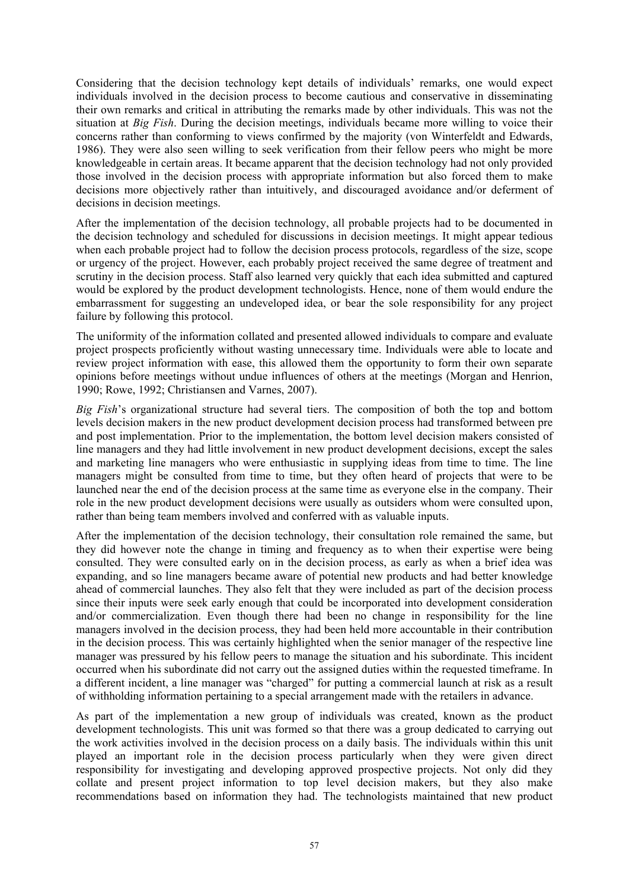Considering that the decision technology kept details of individuals' remarks, one would expect individuals involved in the decision process to become cautious and conservative in disseminating their own remarks and critical in attributing the remarks made by other individuals. This was not the situation at *Big Fish*. During the decision meetings, individuals became more willing to voice their concerns rather than conforming to views confirmed by the majority (von Winterfeldt and Edwards, 1986). They were also seen willing to seek verification from their fellow peers who might be more knowledgeable in certain areas. It became apparent that the decision technology had not only provided those involved in the decision process with appropriate information but also forced them to make decisions more objectively rather than intuitively, and discouraged avoidance and/or deferment of decisions in decision meetings.

After the implementation of the decision technology, all probable projects had to be documented in the decision technology and scheduled for discussions in decision meetings. It might appear tedious when each probable project had to follow the decision process protocols, regardless of the size, scope or urgency of the project. However, each probably project received the same degree of treatment and scrutiny in the decision process. Staff also learned very quickly that each idea submitted and captured would be explored by the product development technologists. Hence, none of them would endure the embarrassment for suggesting an undeveloped idea, or bear the sole responsibility for any project failure by following this protocol.

The uniformity of the information collated and presented allowed individuals to compare and evaluate project prospects proficiently without wasting unnecessary time. Individuals were able to locate and review project information with ease, this allowed them the opportunity to form their own separate opinions before meetings without undue influences of others at the meetings (Morgan and Henrion, 1990; Rowe, 1992; Christiansen and Varnes, 2007).

*Big Fish*'s organizational structure had several tiers. The composition of both the top and bottom levels decision makers in the new product development decision process had transformed between pre and post implementation. Prior to the implementation, the bottom level decision makers consisted of line managers and they had little involvement in new product development decisions, except the sales and marketing line managers who were enthusiastic in supplying ideas from time to time. The line managers might be consulted from time to time, but they often heard of projects that were to be launched near the end of the decision process at the same time as everyone else in the company. Their role in the new product development decisions were usually as outsiders whom were consulted upon, rather than being team members involved and conferred with as valuable inputs.

After the implementation of the decision technology, their consultation role remained the same, but they did however note the change in timing and frequency as to when their expertise were being consulted. They were consulted early on in the decision process, as early as when a brief idea was expanding, and so line managers became aware of potential new products and had better knowledge ahead of commercial launches. They also felt that they were included as part of the decision process since their inputs were seek early enough that could be incorporated into development consideration and/or commercialization. Even though there had been no change in responsibility for the line managers involved in the decision process, they had been held more accountable in their contribution in the decision process. This was certainly highlighted when the senior manager of the respective line manager was pressured by his fellow peers to manage the situation and his subordinate. This incident occurred when his subordinate did not carry out the assigned duties within the requested timeframe. In a different incident, a line manager was "charged" for putting a commercial launch at risk as a result of withholding information pertaining to a special arrangement made with the retailers in advance.

As part of the implementation a new group of individuals was created, known as the product development technologists. This unit was formed so that there was a group dedicated to carrying out the work activities involved in the decision process on a daily basis. The individuals within this unit played an important role in the decision process particularly when they were given direct responsibility for investigating and developing approved prospective projects. Not only did they collate and present project information to top level decision makers, but they also make recommendations based on information they had. The technologists maintained that new product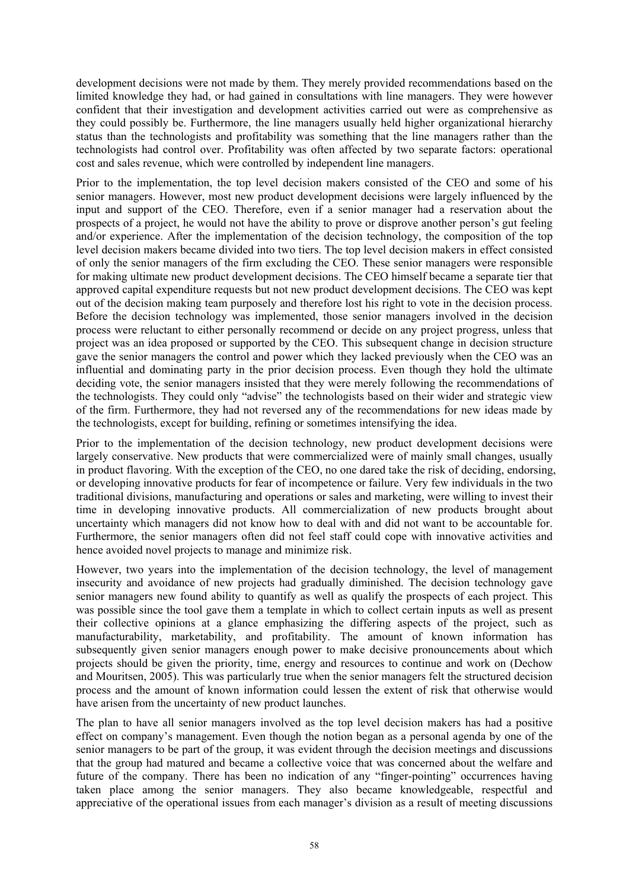development decisions were not made by them. They merely provided recommendations based on the limited knowledge they had, or had gained in consultations with line managers. They were however confident that their investigation and development activities carried out were as comprehensive as they could possibly be. Furthermore, the line managers usually held higher organizational hierarchy status than the technologists and profitability was something that the line managers rather than the technologists had control over. Profitability was often affected by two separate factors: operational cost and sales revenue, which were controlled by independent line managers.

Prior to the implementation, the top level decision makers consisted of the CEO and some of his senior managers. However, most new product development decisions were largely influenced by the input and support of the CEO. Therefore, even if a senior manager had a reservation about the prospects of a project, he would not have the ability to prove or disprove another person's gut feeling and/or experience. After the implementation of the decision technology, the composition of the top level decision makers became divided into two tiers. The top level decision makers in effect consisted of only the senior managers of the firm excluding the CEO. These senior managers were responsible for making ultimate new product development decisions. The CEO himself became a separate tier that approved capital expenditure requests but not new product development decisions. The CEO was kept out of the decision making team purposely and therefore lost his right to vote in the decision process. Before the decision technology was implemented, those senior managers involved in the decision process were reluctant to either personally recommend or decide on any project progress, unless that project was an idea proposed or supported by the CEO. This subsequent change in decision structure gave the senior managers the control and power which they lacked previously when the CEO was an influential and dominating party in the prior decision process. Even though they hold the ultimate deciding vote, the senior managers insisted that they were merely following the recommendations of the technologists. They could only "advise" the technologists based on their wider and strategic view of the firm. Furthermore, they had not reversed any of the recommendations for new ideas made by the technologists, except for building, refining or sometimes intensifying the idea.

Prior to the implementation of the decision technology, new product development decisions were largely conservative. New products that were commercialized were of mainly small changes, usually in product flavoring. With the exception of the CEO, no one dared take the risk of deciding, endorsing, or developing innovative products for fear of incompetence or failure. Very few individuals in the two traditional divisions, manufacturing and operations or sales and marketing, were willing to invest their time in developing innovative products. All commercialization of new products brought about uncertainty which managers did not know how to deal with and did not want to be accountable for. Furthermore, the senior managers often did not feel staff could cope with innovative activities and hence avoided novel projects to manage and minimize risk.

However, two years into the implementation of the decision technology, the level of management insecurity and avoidance of new projects had gradually diminished. The decision technology gave senior managers new found ability to quantify as well as qualify the prospects of each project. This was possible since the tool gave them a template in which to collect certain inputs as well as present their collective opinions at a glance emphasizing the differing aspects of the project, such as manufacturability, marketability, and profitability. The amount of known information has subsequently given senior managers enough power to make decisive pronouncements about which projects should be given the priority, time, energy and resources to continue and work on (Dechow and Mouritsen, 2005). This was particularly true when the senior managers felt the structured decision process and the amount of known information could lessen the extent of risk that otherwise would have arisen from the uncertainty of new product launches.

The plan to have all senior managers involved as the top level decision makers has had a positive effect on company's management. Even though the notion began as a personal agenda by one of the senior managers to be part of the group, it was evident through the decision meetings and discussions that the group had matured and became a collective voice that was concerned about the welfare and future of the company. There has been no indication of any "finger-pointing" occurrences having taken place among the senior managers. They also became knowledgeable, respectful and appreciative of the operational issues from each manager's division as a result of meeting discussions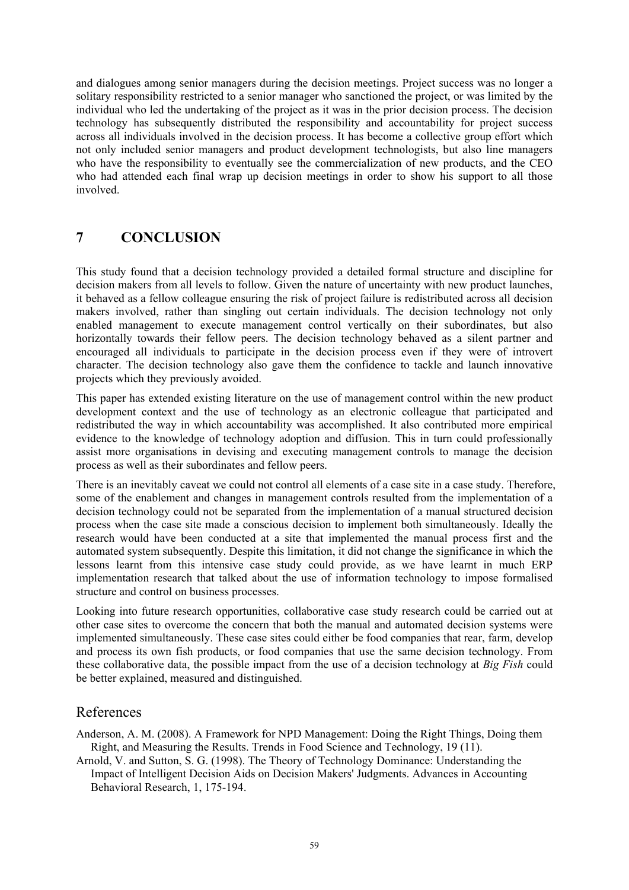and dialogues among senior managers during the decision meetings. Project success was no longer a solitary responsibility restricted to a senior manager who sanctioned the project, or was limited by the individual who led the undertaking of the project as it was in the prior decision process. The decision technology has subsequently distributed the responsibility and accountability for project success across all individuals involved in the decision process. It has become a collective group effort which not only included senior managers and product development technologists, but also line managers who have the responsibility to eventually see the commercialization of new products, and the CEO who had attended each final wrap up decision meetings in order to show his support to all those involved.

#### **7 CONCLUSION**

This study found that a decision technology provided a detailed formal structure and discipline for decision makers from all levels to follow. Given the nature of uncertainty with new product launches, it behaved as a fellow colleague ensuring the risk of project failure is redistributed across all decision makers involved, rather than singling out certain individuals. The decision technology not only enabled management to execute management control vertically on their subordinates, but also horizontally towards their fellow peers. The decision technology behaved as a silent partner and encouraged all individuals to participate in the decision process even if they were of introvert character. The decision technology also gave them the confidence to tackle and launch innovative projects which they previously avoided.

This paper has extended existing literature on the use of management control within the new product development context and the use of technology as an electronic colleague that participated and redistributed the way in which accountability was accomplished. It also contributed more empirical evidence to the knowledge of technology adoption and diffusion. This in turn could professionally assist more organisations in devising and executing management controls to manage the decision process as well as their subordinates and fellow peers.

There is an inevitably caveat we could not control all elements of a case site in a case study. Therefore, some of the enablement and changes in management controls resulted from the implementation of a decision technology could not be separated from the implementation of a manual structured decision process when the case site made a conscious decision to implement both simultaneously. Ideally the research would have been conducted at a site that implemented the manual process first and the automated system subsequently. Despite this limitation, it did not change the significance in which the lessons learnt from this intensive case study could provide, as we have learnt in much ERP implementation research that talked about the use of information technology to impose formalised structure and control on business processes.

Looking into future research opportunities, collaborative case study research could be carried out at other case sites to overcome the concern that both the manual and automated decision systems were implemented simultaneously. These case sites could either be food companies that rear, farm, develop and process its own fish products, or food companies that use the same decision technology. From these collaborative data, the possible impact from the use of a decision technology at *Big Fish* could be better explained, measured and distinguished.

#### References

Anderson, A. M. (2008). A Framework for NPD Management: Doing the Right Things, Doing them Right, and Measuring the Results. Trends in Food Science and Technology, 19 (11).

Arnold, V. and Sutton, S. G. (1998). The Theory of Technology Dominance: Understanding the Impact of Intelligent Decision Aids on Decision Makers' Judgments. Advances in Accounting Behavioral Research, 1, 175-194.